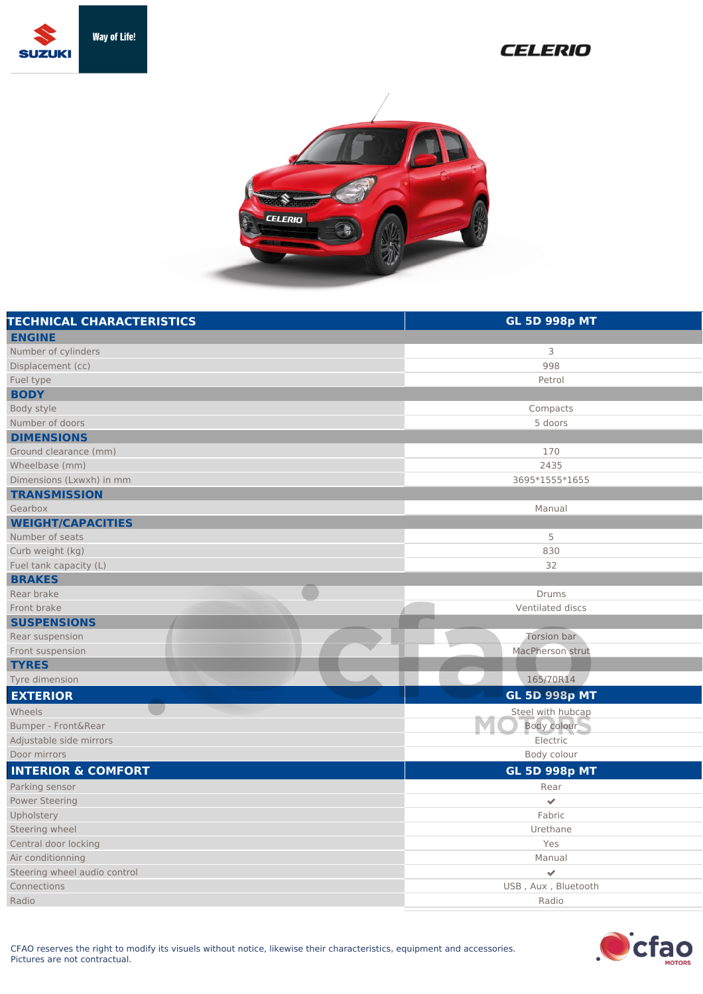

## **CELERIO**



| <b>TECHNICAL CHARACTERISTICS</b> | <b>GL 5D 998p MT</b> |
|----------------------------------|----------------------|
| <b>ENGINE</b>                    |                      |
| Number of cylinders              | 3                    |
| Displacement (cc)                | 998                  |
| Fuel type                        | Petrol               |
| <b>BODY</b>                      |                      |
| Body style                       | Compacts             |
| Number of doors                  | 5 doors              |
| <b>DIMENSIONS</b>                |                      |
| Ground clearance (mm)            | 170                  |
| Wheelbase (mm)                   | 2435                 |
| Dimensions (Lxwxh) in mm         | 3695*1555*1655       |
| <b>TRANSMISSION</b>              |                      |
| Gearbox                          | Manual               |
| <b>WEIGHT/CAPACITIES</b>         |                      |
| Number of seats                  | 5                    |
| Curb weight (kg)                 | 830                  |
| Fuel tank capacity (L)           | 32                   |
| <b>BRAKES</b>                    |                      |
| Rear brake                       | Drums                |
| Front brake                      | Ventilated discs     |
| <b>SUSPENSIONS</b>               |                      |
| Rear suspension                  | Torsion bar          |
| Front suspension                 | MacPherson strut     |
| <b>TYRES</b>                     |                      |
| Tyre dimension                   | 165/70R14            |
| <b>EXTERIOR</b>                  | <b>GL 5D 998p MT</b> |
| Wheels                           | Steel with hubcap    |
| Bumper - Front&Rear              | Body colour          |
| Adjustable side mirrors          | Electric             |
| Door mirrors                     | Body colour          |
| <b>INTERIOR &amp; COMFORT</b>    | <b>GL 5D 998p MT</b> |
| Parking sensor                   | Rear                 |
| <b>Power Steering</b>            | $\checkmark$         |
| Upholstery                       | Fabric               |
| Steering wheel                   | Urethane             |
| Central door locking             | Yes                  |
| Air conditionning                | Manual               |
| Steering wheel audio control     | $\checkmark$         |
| Connections                      | USB, Aux, Bluetooth  |
| Radio                            | Radio                |